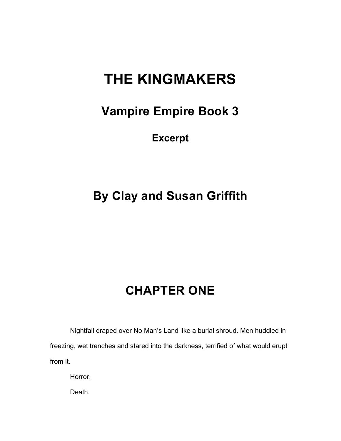## **THE KINGMAKERS**

## **Vampire Empire Book 3**

**Excerpt**

## **By Clay and Susan Griffith**

## **CHAPTER ONE**

Nightfall draped over No Man's Land like a burial shroud. Men huddled in freezing, wet trenches and stared into the darkness, terrified of what would erupt from it.

Horror.

Death.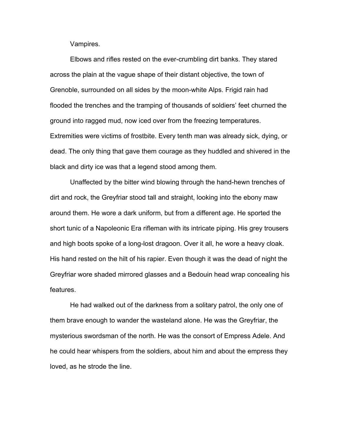Vampires.

Elbows and rifles rested on the ever-crumbling dirt banks. They stared across the plain at the vague shape of their distant objective, the town of Grenoble, surrounded on all sides by the moon-white Alps. Frigid rain had flooded the trenches and the tramping of thousands of soldiers' feet churned the ground into ragged mud, now iced over from the freezing temperatures. Extremities were victims of frostbite. Every tenth man was already sick, dying, or dead. The only thing that gave them courage as they huddled and shivered in the black and dirty ice was that a legend stood among them.

Unaffected by the bitter wind blowing through the hand-hewn trenches of dirt and rock, the Greyfriar stood tall and straight, looking into the ebony maw around them. He wore a dark uniform, but from a different age. He sported the short tunic of a Napoleonic Era rifleman with its intricate piping. His grey trousers and high boots spoke of a long-lost dragoon. Over it all, he wore a heavy cloak. His hand rested on the hilt of his rapier. Even though it was the dead of night the Greyfriar wore shaded mirrored glasses and a Bedouin head wrap concealing his features.

He had walked out of the darkness from a solitary patrol, the only one of them brave enough to wander the wasteland alone. He was the Greyfriar, the mysterious swordsman of the north. He was the consort of Empress Adele. And he could hear whispers from the soldiers, about him and about the empress they loved, as he strode the line.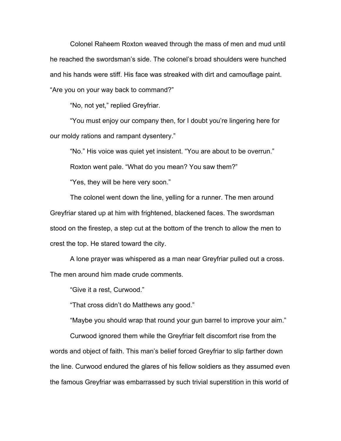Colonel Raheem Roxton weaved through the mass of men and mud until he reached the swordsman's side. The colonel's broad shoulders were hunched and his hands were stiff. His face was streaked with dirt and camouflage paint. "Are you on your way back to command?"

"No, not yet," replied Greyfriar.

"You must enjoy our company then, for I doubt you're lingering here for our moldy rations and rampant dysentery."

"No." His voice was quiet yet insistent. "You are about to be overrun."

Roxton went pale. "What do you mean? You saw them?"

"Yes, they will be here very soon."

The colonel went down the line, yelling for a runner. The men around Greyfriar stared up at him with frightened, blackened faces. The swordsman stood on the firestep, a step cut at the bottom of the trench to allow the men to crest the top. He stared toward the city.

A lone prayer was whispered as a man near Greyfriar pulled out a cross. The men around him made crude comments.

"Give it a rest, Curwood."

"That cross didn't do Matthews any good."

"Maybe you should wrap that round your gun barrel to improve your aim."

Curwood ignored them while the Greyfriar felt discomfort rise from the words and object of faith. This man's belief forced Greyfriar to slip farther down the line. Curwood endured the glares of his fellow soldiers as they assumed even the famous Greyfriar was embarrassed by such trivial superstition in this world of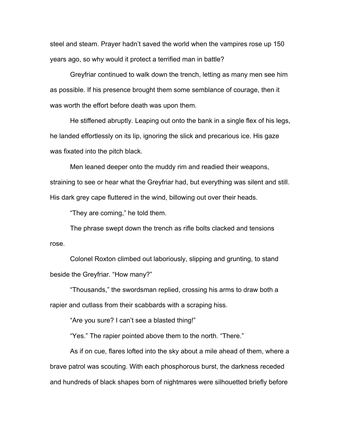steel and steam. Prayer hadn't saved the world when the vampires rose up 150 years ago, so why would it protect a terrified man in battle?

Greyfriar continued to walk down the trench, letting as many men see him as possible. If his presence brought them some semblance of courage, then it was worth the effort before death was upon them.

He stiffened abruptly. Leaping out onto the bank in a single flex of his legs, he landed effortlessly on its lip, ignoring the slick and precarious ice. His gaze was fixated into the pitch black.

Men leaned deeper onto the muddy rim and readied their weapons, straining to see or hear what the Greyfriar had, but everything was silent and still. His dark grey cape fluttered in the wind, billowing out over their heads.

"They are coming," he told them.

The phrase swept down the trench as rifle bolts clacked and tensions rose.

Colonel Roxton climbed out laboriously, slipping and grunting, to stand beside the Greyfriar. "How many?"

"Thousands," the swordsman replied, crossing his arms to draw both a rapier and cutlass from their scabbards with a scraping hiss.

"Are you sure? I can't see a blasted thing!"

"Yes." The rapier pointed above them to the north. "There."

As if on cue, flares lofted into the sky about a mile ahead of them, where a brave patrol was scouting. With each phosphorous burst, the darkness receded and hundreds of black shapes born of nightmares were silhouetted briefly before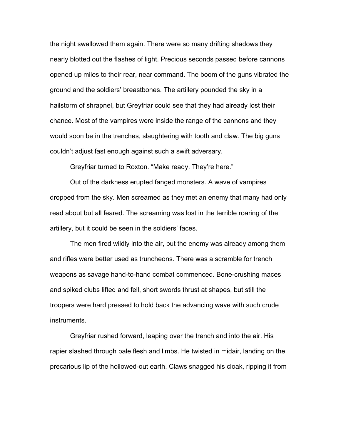the night swallowed them again. There were so many drifting shadows they nearly blotted out the flashes of light. Precious seconds passed before cannons opened up miles to their rear, near command. The boom of the guns vibrated the ground and the soldiers' breastbones. The artillery pounded the sky in a hailstorm of shrapnel, but Greyfriar could see that they had already lost their chance. Most of the vampires were inside the range of the cannons and they would soon be in the trenches, slaughtering with tooth and claw. The big guns couldn't adjust fast enough against such a swift adversary.

Greyfriar turned to Roxton. "Make ready. They're here."

Out of the darkness erupted fanged monsters. A wave of vampires dropped from the sky. Men screamed as they met an enemy that many had only read about but all feared. The screaming was lost in the terrible roaring of the artillery, but it could be seen in the soldiers' faces.

The men fired wildly into the air, but the enemy was already among them and rifles were better used as truncheons. There was a scramble for trench weapons as savage hand-to-hand combat commenced. Bone-crushing maces and spiked clubs lifted and fell, short swords thrust at shapes, but still the troopers were hard pressed to hold back the advancing wave with such crude instruments.

Greyfriar rushed forward, leaping over the trench and into the air. His rapier slashed through pale flesh and limbs. He twisted in midair, landing on the precarious lip of the hollowed-out earth. Claws snagged his cloak, ripping it from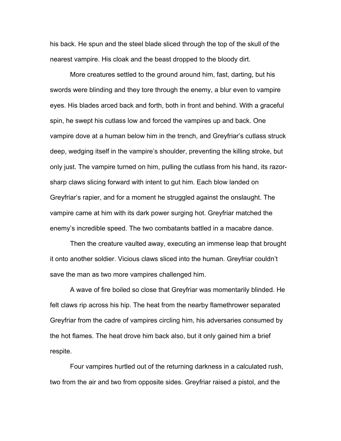his back. He spun and the steel blade sliced through the top of the skull of the nearest vampire. His cloak and the beast dropped to the bloody dirt.

More creatures settled to the ground around him, fast, darting, but his swords were blinding and they tore through the enemy, a blur even to vampire eyes. His blades arced back and forth, both in front and behind. With a graceful spin, he swept his cutlass low and forced the vampires up and back. One vampire dove at a human below him in the trench, and Greyfriar's cutlass struck deep, wedging itself in the vampire's shoulder, preventing the killing stroke, but only just. The vampire turned on him, pulling the cutlass from his hand, its razorsharp claws slicing forward with intent to gut him. Each blow landed on Greyfriar's rapier, and for a moment he struggled against the onslaught. The vampire came at him with its dark power surging hot. Greyfriar matched the enemy's incredible speed. The two combatants battled in a macabre dance.

Then the creature vaulted away, executing an immense leap that brought it onto another soldier. Vicious claws sliced into the human. Greyfriar couldn't save the man as two more vampires challenged him.

A wave of fire boiled so close that Greyfriar was momentarily blinded. He felt claws rip across his hip. The heat from the nearby flamethrower separated Greyfriar from the cadre of vampires circling him, his adversaries consumed by the hot flames. The heat drove him back also, but it only gained him a brief respite.

Four vampires hurtled out of the returning darkness in a calculated rush, two from the air and two from opposite sides. Greyfriar raised a pistol, and the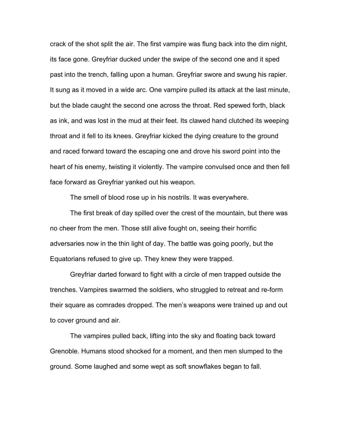crack of the shot split the air. The first vampire was flung back into the dim night, its face gone. Greyfriar ducked under the swipe of the second one and it sped past into the trench, falling upon a human. Greyfriar swore and swung his rapier. It sung as it moved in a wide arc. One vampire pulled its attack at the last minute, but the blade caught the second one across the throat. Red spewed forth, black as ink, and was lost in the mud at their feet. Its clawed hand clutched its weeping throat and it fell to its knees. Greyfriar kicked the dying creature to the ground and raced forward toward the escaping one and drove his sword point into the heart of his enemy, twisting it violently. The vampire convulsed once and then fell face forward as Greyfriar yanked out his weapon.

The smell of blood rose up in his nostrils. It was everywhere.

The first break of day spilled over the crest of the mountain, but there was no cheer from the men. Those still alive fought on, seeing their horrific adversaries now in the thin light of day. The battle was going poorly, but the Equatorians refused to give up. They knew they were trapped.

Greyfriar darted forward to fight with a circle of men trapped outside the trenches. Vampires swarmed the soldiers, who struggled to retreat and re-form their square as comrades dropped. The men's weapons were trained up and out to cover ground and air.

The vampires pulled back, lifting into the sky and floating back toward Grenoble. Humans stood shocked for a moment, and then men slumped to the ground. Some laughed and some wept as soft snowflakes began to fall.